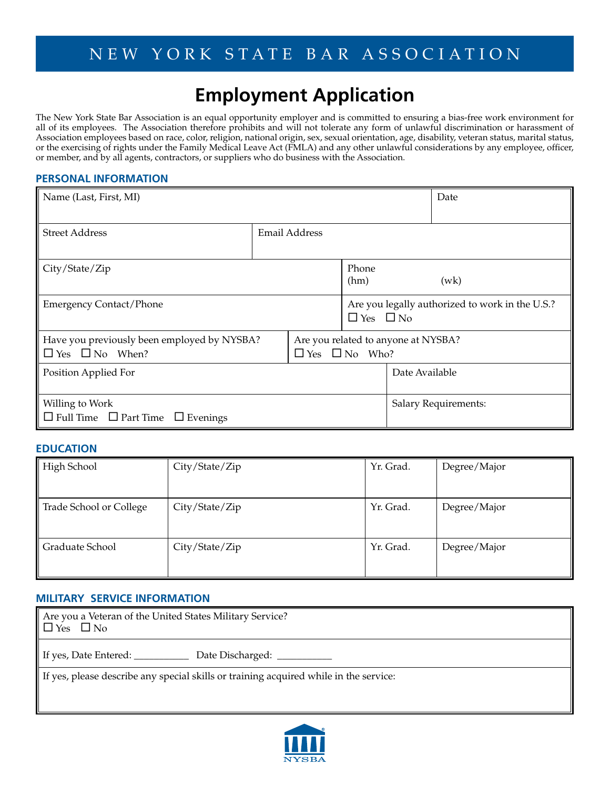# **Employment Application**

The New York State Bar Association is an equal opportunity employer and is committed to ensuring a bias-free work environment for all of its employees. The Association therefore prohibits and will not tolerate any form of unlawful discrimination or harassment of Association employees based on race, color, religion, national origin, sex, sexual orientation, age, disability, veteran status, marital status, or the exercising of rights under the Family Medical Leave Act (FMLA) and any other unlawful considerations by any employee, officer, or member, and by all agents, contractors, or suppliers who do business with the Association.

## **PERSONAL INFORMATION**

| Name (Last, First, MI)                                  |               |                                     |                                                 | Date |                             |
|---------------------------------------------------------|---------------|-------------------------------------|-------------------------------------------------|------|-----------------------------|
|                                                         |               |                                     |                                                 |      |                             |
| <b>Street Address</b>                                   | Email Address |                                     |                                                 |      |                             |
|                                                         |               |                                     |                                                 |      |                             |
| City/State/Zip                                          |               |                                     | Phone                                           |      |                             |
|                                                         |               |                                     | (hm)                                            |      | (wk)                        |
| <b>Emergency Contact/Phone</b>                          |               |                                     | Are you legally authorized to work in the U.S.? |      |                             |
|                                                         |               |                                     | $\Box$ Yes $\Box$ No                            |      |                             |
| Have you previously been employed by NYSBA?             |               | Are you related to anyone at NYSBA? |                                                 |      |                             |
| $\Box$ Yes $\Box$ No When?<br>$\Box$ Yes $\Box$ No Who? |               |                                     |                                                 |      |                             |
| Position Applied For                                    |               |                                     | Date Available                                  |      |                             |
|                                                         |               |                                     |                                                 |      |                             |
| Willing to Work                                         |               |                                     |                                                 |      | <b>Salary Requirements:</b> |
| $\Box$ Full Time $\Box$ Part Time $\Box$ Evenings       |               |                                     |                                                 |      |                             |

## **EDUCATION**

| High School             | City/State/Zip | Yr. Grad. | Degree/Major |
|-------------------------|----------------|-----------|--------------|
|                         |                |           |              |
| Trade School or College | City/State/Zip | Yr. Grad. | Degree/Major |
|                         |                |           |              |
| Graduate School         | City/State/Zip | Yr. Grad. | Degree/Major |
|                         |                |           |              |

### **MILITARY SERVICE INFORMATION**

| Are you a Veteran of the United States Military Service?<br>$\Box$ Yes $\Box$ No      |
|---------------------------------------------------------------------------------------|
| If yes, Date Entered: ______________ Date Discharged: ___________                     |
| If yes, please describe any special skills or training acquired while in the service: |

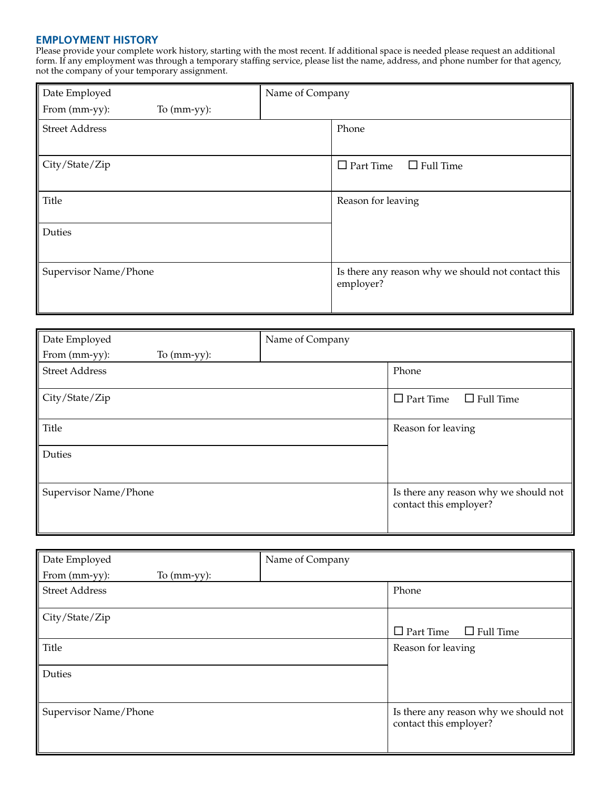### **EMPLOYMENT HISTORY**

Please provide your complete work history, starting with the most recent. If additional space is needed please request an additional form. If any employment was through a temporary staffing service, please list the name, address, and phone number for that agency, not the company of your temporary assignment.

| Date Employed         |                | Name of Company |                                                                 |
|-----------------------|----------------|-----------------|-----------------------------------------------------------------|
| From (mm-yy):         | To $(mm-yy)$ : |                 |                                                                 |
| <b>Street Address</b> |                |                 | Phone                                                           |
|                       |                |                 |                                                                 |
| City/State/Zip        |                |                 | $\Box$ Part Time<br>$\Box$ Full Time                            |
| Title                 |                |                 | Reason for leaving                                              |
| Duties                |                |                 |                                                                 |
| Supervisor Name/Phone |                |                 | Is there any reason why we should not contact this<br>employer? |

| Date Employed                   | Name of Company |                                                                 |
|---------------------------------|-----------------|-----------------------------------------------------------------|
| From (mm-yy):<br>To $(mm-yy)$ : |                 |                                                                 |
| <b>Street Address</b>           |                 | Phone                                                           |
| City/State/Zip                  |                 | $\Box$ Part Time<br>$\Box$ Full Time                            |
| <b>Title</b>                    |                 | Reason for leaving                                              |
| Duties                          |                 |                                                                 |
| Supervisor Name/Phone           |                 | Is there any reason why we should not<br>contact this employer? |

| Date Employed                   | Name of Company |                                                                 |
|---------------------------------|-----------------|-----------------------------------------------------------------|
| From (mm-yy):<br>To $(mm-yy)$ : |                 |                                                                 |
| <b>Street Address</b>           |                 | Phone                                                           |
| City/State/Zip                  |                 |                                                                 |
|                                 |                 | $\Box$ Part Time<br>$\Box$ Full Time                            |
| Title                           |                 | Reason for leaving                                              |
| Duties                          |                 |                                                                 |
| Supervisor Name/Phone           |                 | Is there any reason why we should not<br>contact this employer? |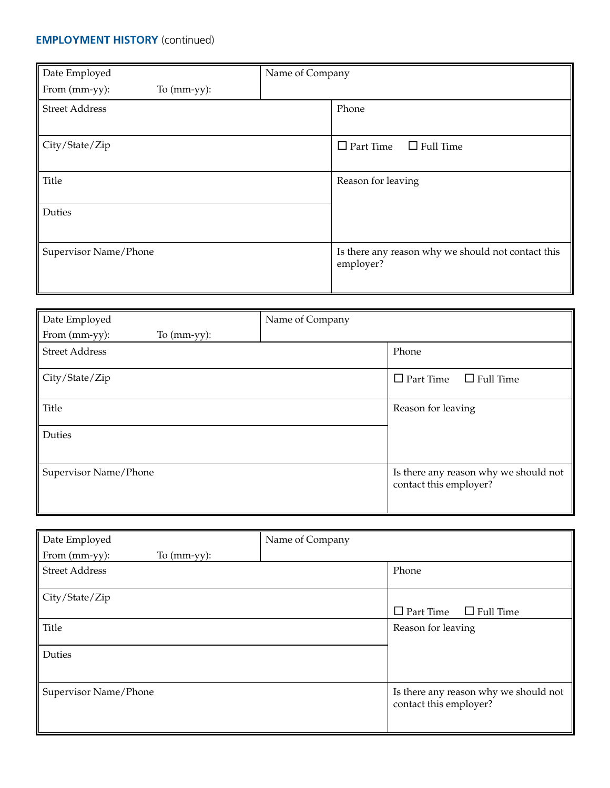# **EMPLOYMENT HISTORY** (continued)

| Date Employed                   | Name of Company                                                 |
|---------------------------------|-----------------------------------------------------------------|
| From (mm-yy):<br>To $(mm-yy)$ : |                                                                 |
| <b>Street Address</b>           | Phone                                                           |
| City/State/Zip                  | $\Box$ Part Time<br>$\Box$ Full Time                            |
| <b>Title</b>                    | Reason for leaving                                              |
| Duties                          |                                                                 |
| Supervisor Name/Phone           | Is there any reason why we should not contact this<br>employer? |

| Date Employed                   | Name of Company |                                                                 |
|---------------------------------|-----------------|-----------------------------------------------------------------|
| From (mm-yy):<br>To $(mm-yy)$ : |                 |                                                                 |
| <b>Street Address</b>           |                 | Phone                                                           |
| City/State/Zip                  |                 | $\Box$ Part Time<br>$\Box$ Full Time                            |
| Title                           |                 | Reason for leaving                                              |
| Duties                          |                 |                                                                 |
| Supervisor Name/Phone           |                 | Is there any reason why we should not<br>contact this employer? |

| Date Employed                   | Name of Company |                                                                 |
|---------------------------------|-----------------|-----------------------------------------------------------------|
| From (mm-yy):<br>To $(mm-yy)$ : |                 |                                                                 |
| <b>Street Address</b>           |                 | Phone                                                           |
| City/State/Zip                  |                 |                                                                 |
|                                 |                 | $\Box$ Part Time<br>$\Box$ Full Time                            |
| Title                           |                 | Reason for leaving                                              |
| Duties                          |                 |                                                                 |
| Supervisor Name/Phone           |                 | Is there any reason why we should not<br>contact this employer? |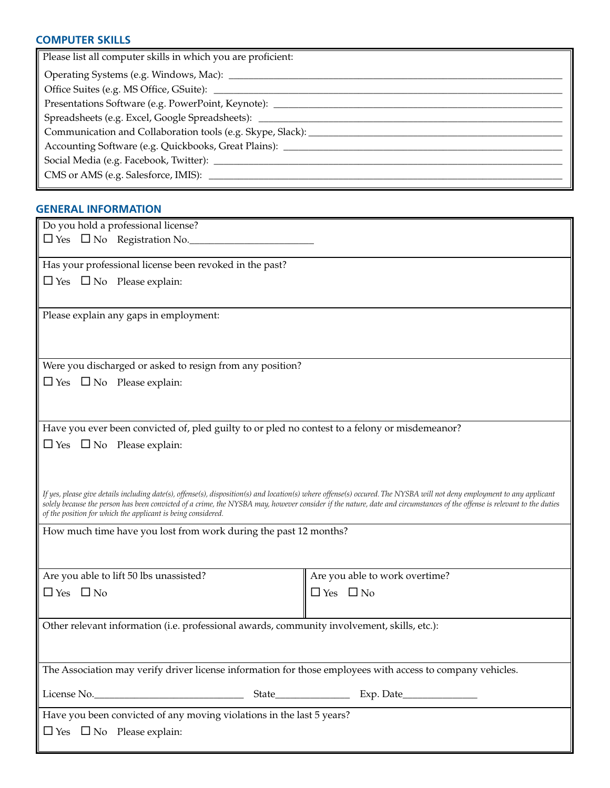## **COMPUTER SKILLS**

| Please list all computer skills in which you are proficient:                     |
|----------------------------------------------------------------------------------|
|                                                                                  |
|                                                                                  |
| Presentations Software (e.g. PowerPoint, Keynote): _____________________________ |
| Spreadsheets (e.g. Excel, Google Spreadsheets): __________                       |
| Communication and Collaboration tools (e.g. Skype, Slack): _____________         |
| Accounting Software (e.g. Quickbooks, Great Plains): ___________                 |
|                                                                                  |
|                                                                                  |
|                                                                                  |

## **GENERAL INFORMATION**

| Do you hold a professional license?                                                                                                                                                                                                                                                                                                                                                                                |                                |  |  |  |
|--------------------------------------------------------------------------------------------------------------------------------------------------------------------------------------------------------------------------------------------------------------------------------------------------------------------------------------------------------------------------------------------------------------------|--------------------------------|--|--|--|
| $\square$ Yes $\square$ No Registration No.                                                                                                                                                                                                                                                                                                                                                                        |                                |  |  |  |
|                                                                                                                                                                                                                                                                                                                                                                                                                    |                                |  |  |  |
| Has your professional license been revoked in the past?                                                                                                                                                                                                                                                                                                                                                            |                                |  |  |  |
| $\Box$ Yes $\Box$ No Please explain:                                                                                                                                                                                                                                                                                                                                                                               |                                |  |  |  |
|                                                                                                                                                                                                                                                                                                                                                                                                                    |                                |  |  |  |
| Please explain any gaps in employment:                                                                                                                                                                                                                                                                                                                                                                             |                                |  |  |  |
|                                                                                                                                                                                                                                                                                                                                                                                                                    |                                |  |  |  |
|                                                                                                                                                                                                                                                                                                                                                                                                                    |                                |  |  |  |
| Were you discharged or asked to resign from any position?                                                                                                                                                                                                                                                                                                                                                          |                                |  |  |  |
| $\Box$ Yes $\Box$ No Please explain:                                                                                                                                                                                                                                                                                                                                                                               |                                |  |  |  |
|                                                                                                                                                                                                                                                                                                                                                                                                                    |                                |  |  |  |
|                                                                                                                                                                                                                                                                                                                                                                                                                    |                                |  |  |  |
| Have you ever been convicted of, pled guilty to or pled no contest to a felony or misdemeanor?                                                                                                                                                                                                                                                                                                                     |                                |  |  |  |
| $\Box$ Yes $\Box$ No Please explain:                                                                                                                                                                                                                                                                                                                                                                               |                                |  |  |  |
|                                                                                                                                                                                                                                                                                                                                                                                                                    |                                |  |  |  |
|                                                                                                                                                                                                                                                                                                                                                                                                                    |                                |  |  |  |
| If yes, please give details including date(s), offense(s), disposition(s) and location(s) where offense(s) occured. The NYSBA will not deny employment to any applicant<br>solely because the person has been convicted of a crime, the NYSBA may, however consider if the nature, date and circumstances of the offense is relevant to the duties<br>of the position for which the applicant is being considered. |                                |  |  |  |
| How much time have you lost from work during the past 12 months?                                                                                                                                                                                                                                                                                                                                                   |                                |  |  |  |
|                                                                                                                                                                                                                                                                                                                                                                                                                    |                                |  |  |  |
|                                                                                                                                                                                                                                                                                                                                                                                                                    |                                |  |  |  |
| Are you able to lift 50 lbs unassisted?                                                                                                                                                                                                                                                                                                                                                                            | Are you able to work overtime? |  |  |  |
| $\Box$ Yes $\Box$ No                                                                                                                                                                                                                                                                                                                                                                                               | $\Box$ Yes $\Box$ No           |  |  |  |
|                                                                                                                                                                                                                                                                                                                                                                                                                    |                                |  |  |  |
| Other relevant information (i.e. professional awards, community involvement, skills, etc.):                                                                                                                                                                                                                                                                                                                        |                                |  |  |  |
|                                                                                                                                                                                                                                                                                                                                                                                                                    |                                |  |  |  |
|                                                                                                                                                                                                                                                                                                                                                                                                                    |                                |  |  |  |
| The Association may verify driver license information for those employees with access to company vehicles.                                                                                                                                                                                                                                                                                                         |                                |  |  |  |
|                                                                                                                                                                                                                                                                                                                                                                                                                    |                                |  |  |  |
| Have you been convicted of any moving violations in the last 5 years?                                                                                                                                                                                                                                                                                                                                              |                                |  |  |  |
| $\Box$ Yes $\Box$ No Please explain:                                                                                                                                                                                                                                                                                                                                                                               |                                |  |  |  |
|                                                                                                                                                                                                                                                                                                                                                                                                                    |                                |  |  |  |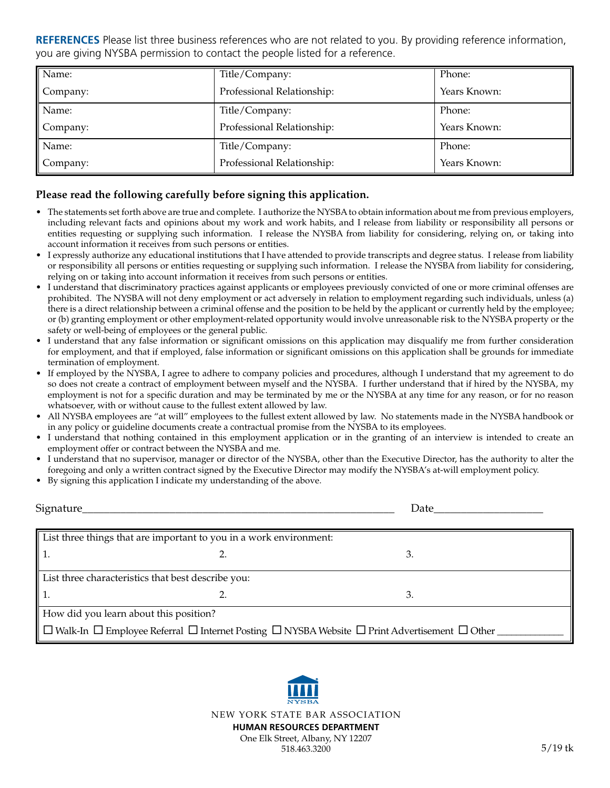**REFERENCES** Please list three business references who are not related to you. By providing reference information, you are giving NYSBA permission to contact the people listed for a reference.

| Name:    | Title/Company:             | Phone:       |
|----------|----------------------------|--------------|
| Company: | Professional Relationship: | Years Known: |
| Name:    | Title/Company:             | Phone:       |
| Company: | Professional Relationship: | Years Known: |
| Name:    | Title/Company:             | Phone:       |
| Company: | Professional Relationship: | Years Known: |

## **Please read the following carefully before signing this application.**

- The statements set forth above are true and complete. I authorize the NYSBA to obtain information about me from previous employers, including relevant facts and opinions about my work and work habits, and I release from liability or responsibility all persons or entities requesting or supplying such information. I release the NYSBA from liability for considering, relying on, or taking into account information it receives from such persons or entities.
- I expressly authorize any educational institutions that I have attended to provide transcripts and degree status. I release from liability or responsibility all persons or entities requesting or supplying such information. I release the NYSBA from liability for considering, relying on or taking into account information it receives from such persons or entities.
- I understand that discriminatory practices against applicants or employees previously convicted of one or more criminal offenses are prohibited. The NYSBA will not deny employment or act adversely in relation to employment regarding such individuals, unless (a) there is a direct relationship between a criminal offense and the position to be held by the applicant or currently held by the employee; or (b) granting employment or other employment-related opportunity would involve unreasonable risk to the NYSBA property or the safety or well-being of employees or the general public.
- I understand that any false information or significant omissions on this application may disqualify me from further consideration for employment, and that if employed, false information or significant omissions on this application shall be grounds for immediate termination of employment.
- If employed by the NYSBA, I agree to adhere to company policies and procedures, although I understand that my agreement to do so does not create a contract of employment between myself and the NYSBA. I further understand that if hired by the NYSBA, my employment is not for a specific duration and may be terminated by me or the NYSBA at any time for any reason, or for no reason whatsoever, with or without cause to the fullest extent allowed by law.
- All NYSBA employees are "at will" employees to the fullest extent allowed by law. No statements made in the NYSBA handbook or in any policy or guideline documents create a contractual promise from the NYSBA to its employees.
- I understand that nothing contained in this employment application or in the granting of an interview is intended to create an employment offer or contract between the NYSBA and me.
- I understand that no supervisor, manager or director of the NYSBA, other than the Executive Director, has the authority to alter the foregoing and only a written contract signed by the Executive Director may modify the NYSBA's at-will employment policy.
- By signing this application I indicate my understanding of the above.

| Signature_                             |                                                                    | Date                                                                                                                         |
|----------------------------------------|--------------------------------------------------------------------|------------------------------------------------------------------------------------------------------------------------------|
|                                        | List three things that are important to you in a work environment: |                                                                                                                              |
|                                        |                                                                    | 3.                                                                                                                           |
|                                        | List three characteristics that best describe you:                 |                                                                                                                              |
|                                        |                                                                    | 3.                                                                                                                           |
| How did you learn about this position? |                                                                    |                                                                                                                              |
|                                        |                                                                    | $\Box$ Walk-In $\Box$ Employee Referral $\Box$ Internet Posting $\Box$ NYSBA Website $\Box$ Print Advertisement $\Box$ Other |

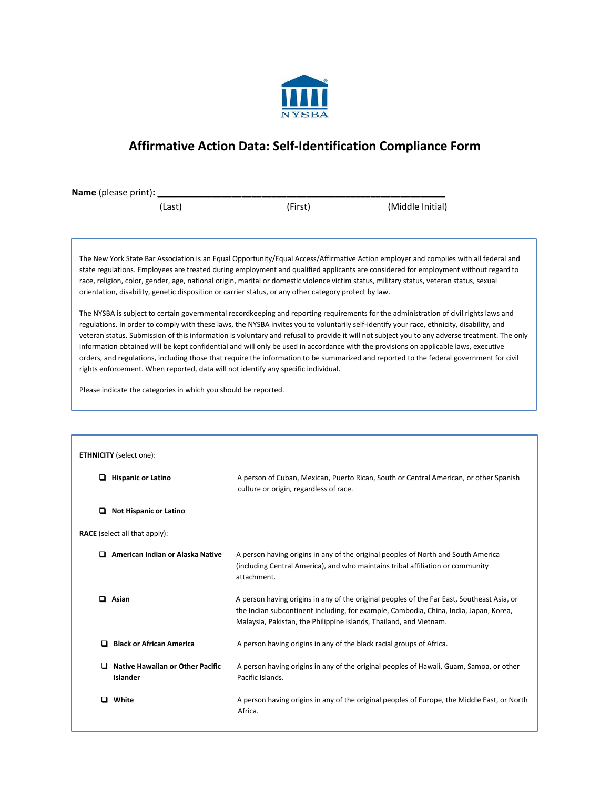

# **Affirmative Action Data: Self-Identification Compliance Form**

**Name** (please print)**: \_\_\_\_\_\_\_\_\_\_\_\_\_\_\_\_\_\_\_\_\_\_\_\_\_\_\_\_\_\_\_\_\_\_\_\_\_\_\_\_\_\_\_\_\_\_\_\_\_\_\_\_\_\_\_\_\_\_** (Last) (First) (Middle Initial)

The New York State Bar Association is an Equal Opportunity/Equal Access/Affirmative Action employer and complies with all federal and state regulations. Employees are treated during employment and qualified applicants are considered for employment without regard to race, religion, color, gender, age, national origin, marital or domestic violence victim status, military status, veteran status, sexual orientation, disability, genetic disposition or carrier status, or any other category protect by law.

The NYSBA is subject to certain governmental recordkeeping and reporting requirements for the administration of civil rights laws and regulations. In order to comply with these laws, the NYSBA invites you to voluntarily self-identify your race, ethnicity, disability, and veteran status. Submission of this information is voluntary and refusal to provide it will not subject you to any adverse treatment. The only information obtained will be kept confidential and will only be used in accordance with the provisions on applicable laws, executive orders, and regulations, including those that require the information to be summarized and reported to the federal government for civil rights enforcement. When reported, data will not identify any specific individual.

Please indicate the categories in which you should be reported.

| <b>ETHNICITY</b> (select one):                    |                                                                                                                                                                                                                                                           |
|---------------------------------------------------|-----------------------------------------------------------------------------------------------------------------------------------------------------------------------------------------------------------------------------------------------------------|
| o<br><b>Hispanic or Latino</b>                    | A person of Cuban, Mexican, Puerto Rican, South or Central American, or other Spanish<br>culture or origin, regardless of race.                                                                                                                           |
| □<br><b>Not Hispanic or Latino</b>                |                                                                                                                                                                                                                                                           |
| <b>RACE</b> (select all that apply):              |                                                                                                                                                                                                                                                           |
| o<br>American Indian or Alaska Native             | A person having origins in any of the original peoples of North and South America<br>(including Central America), and who maintains tribal affiliation or community<br>attachment.                                                                        |
| ▫<br>Asian                                        | A person having origins in any of the original peoples of the Far East, Southeast Asia, or<br>the Indian subcontinent including, for example, Cambodia, China, India, Japan, Korea,<br>Malaysia, Pakistan, the Philippine Islands, Thailand, and Vietnam. |
| <b>Black or African America</b><br>▫              | A person having origins in any of the black racial groups of Africa.                                                                                                                                                                                      |
| Native Hawaiian or Other Pacific<br>□<br>Islander | A person having origins in any of the original peoples of Hawaii, Guam, Samoa, or other<br>Pacific Islands.                                                                                                                                               |
| White<br>ப                                        | A person having origins in any of the original peoples of Europe, the Middle East, or North<br>Africa.                                                                                                                                                    |